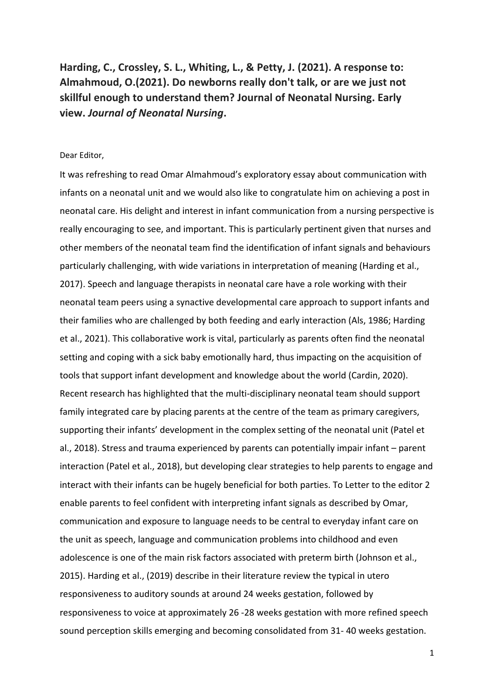**Harding, C., Crossley, S. L., Whiting, L., & Petty, J. (2021). A response to: Almahmoud, O.(2021). Do newborns really don't talk, or are we just not skillful enough to understand them? Journal of Neonatal Nursing. Early view.** *Journal of Neonatal Nursing***.**

## Dear Editor,

It was refreshing to read Omar Almahmoud's exploratory essay about communication with infants on a neonatal unit and we would also like to congratulate him on achieving a post in neonatal care. His delight and interest in infant communication from a nursing perspective is really encouraging to see, and important. This is particularly pertinent given that nurses and other members of the neonatal team find the identification of infant signals and behaviours particularly challenging, with wide variations in interpretation of meaning (Harding et al., 2017). Speech and language therapists in neonatal care have a role working with their neonatal team peers using a synactive developmental care approach to support infants and their families who are challenged by both feeding and early interaction (Als, 1986; Harding et al., 2021). This collaborative work is vital, particularly as parents often find the neonatal setting and coping with a sick baby emotionally hard, thus impacting on the acquisition of tools that support infant development and knowledge about the world (Cardin, 2020). Recent research has highlighted that the multi-disciplinary neonatal team should support family integrated care by placing parents at the centre of the team as primary caregivers, supporting their infants' development in the complex setting of the neonatal unit (Patel et al., 2018). Stress and trauma experienced by parents can potentially impair infant – parent interaction (Patel et al., 2018), but developing clear strategies to help parents to engage and interact with their infants can be hugely beneficial for both parties. To Letter to the editor 2 enable parents to feel confident with interpreting infant signals as described by Omar, communication and exposure to language needs to be central to everyday infant care on the unit as speech, language and communication problems into childhood and even adolescence is one of the main risk factors associated with preterm birth (Johnson et al., 2015). Harding et al., (2019) describe in their literature review the typical in utero responsiveness to auditory sounds at around 24 weeks gestation, followed by responsiveness to voice at approximately 26 -28 weeks gestation with more refined speech sound perception skills emerging and becoming consolidated from 31- 40 weeks gestation.

1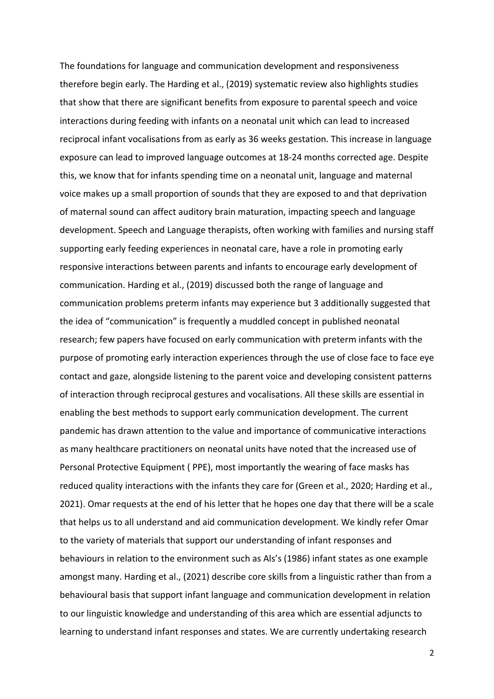The foundations for language and communication development and responsiveness therefore begin early. The Harding et al., (2019) systematic review also highlights studies that show that there are significant benefits from exposure to parental speech and voice interactions during feeding with infants on a neonatal unit which can lead to increased reciprocal infant vocalisations from as early as 36 weeks gestation. This increase in language exposure can lead to improved language outcomes at 18-24 months corrected age. Despite this, we know that for infants spending time on a neonatal unit, language and maternal voice makes up a small proportion of sounds that they are exposed to and that deprivation of maternal sound can affect auditory brain maturation, impacting speech and language development. Speech and Language therapists, often working with families and nursing staff supporting early feeding experiences in neonatal care, have a role in promoting early responsive interactions between parents and infants to encourage early development of communication. Harding et al., (2019) discussed both the range of language and communication problems preterm infants may experience but 3 additionally suggested that the idea of "communication" is frequently a muddled concept in published neonatal research; few papers have focused on early communication with preterm infants with the purpose of promoting early interaction experiences through the use of close face to face eye contact and gaze, alongside listening to the parent voice and developing consistent patterns of interaction through reciprocal gestures and vocalisations. All these skills are essential in enabling the best methods to support early communication development. The current pandemic has drawn attention to the value and importance of communicative interactions as many healthcare practitioners on neonatal units have noted that the increased use of Personal Protective Equipment ( PPE), most importantly the wearing of face masks has reduced quality interactions with the infants they care for (Green et al., 2020; Harding et al., 2021). Omar requests at the end of his letter that he hopes one day that there will be a scale that helps us to all understand and aid communication development. We kindly refer Omar to the variety of materials that support our understanding of infant responses and behaviours in relation to the environment such as Als's (1986) infant states as one example amongst many. Harding et al., (2021) describe core skills from a linguistic rather than from a behavioural basis that support infant language and communication development in relation to our linguistic knowledge and understanding of this area which are essential adjuncts to learning to understand infant responses and states. We are currently undertaking research

2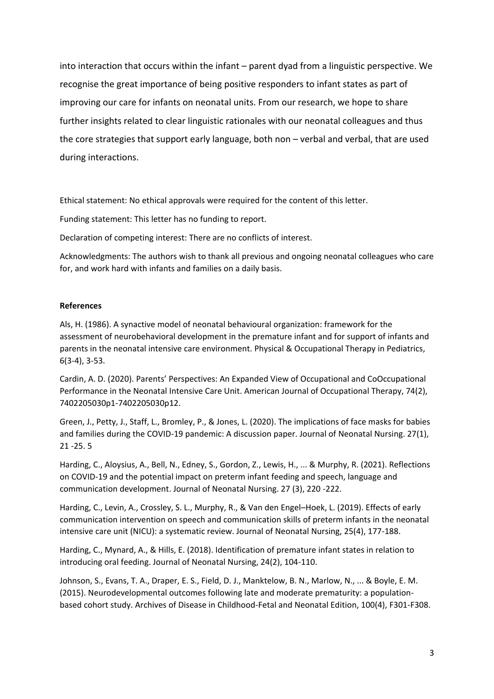into interaction that occurs within the infant – parent dyad from a linguistic perspective. We recognise the great importance of being positive responders to infant states as part of improving our care for infants on neonatal units. From our research, we hope to share further insights related to clear linguistic rationales with our neonatal colleagues and thus the core strategies that support early language, both non – verbal and verbal, that are used during interactions.

Ethical statement: No ethical approvals were required for the content of this letter.

Funding statement: This letter has no funding to report.

Declaration of competing interest: There are no conflicts of interest.

Acknowledgments: The authors wish to thank all previous and ongoing neonatal colleagues who care for, and work hard with infants and families on a daily basis.

## **References**

Als, H. (1986). A synactive model of neonatal behavioural organization: framework for the assessment of neurobehavioral development in the premature infant and for support of infants and parents in the neonatal intensive care environment. Physical & Occupational Therapy in Pediatrics, 6(3-4), 3-53.

Cardin, A. D. (2020). Parents' Perspectives: An Expanded View of Occupational and CoOccupational Performance in the Neonatal Intensive Care Unit. American Journal of Occupational Therapy, 74(2), 7402205030p1-7402205030p12.

Green, J., Petty, J., Staff, L., Bromley, P., & Jones, L. (2020). The implications of face masks for babies and families during the COVID-19 pandemic: A discussion paper. Journal of Neonatal Nursing. 27(1), 21 -25. 5

Harding, C., Aloysius, A., Bell, N., Edney, S., Gordon, Z., Lewis, H., ... & Murphy, R. (2021). Reflections on COVID-19 and the potential impact on preterm infant feeding and speech, language and communication development. Journal of Neonatal Nursing. 27 (3), 220 -222.

Harding, C., Levin, A., Crossley, S. L., Murphy, R., & Van den Engel–Hoek, L. (2019). Effects of early communication intervention on speech and communication skills of preterm infants in the neonatal intensive care unit (NICU): a systematic review. Journal of Neonatal Nursing, 25(4), 177-188.

Harding, C., Mynard, A., & Hills, E. (2018). Identification of premature infant states in relation to introducing oral feeding. Journal of Neonatal Nursing, 24(2), 104-110.

Johnson, S., Evans, T. A., Draper, E. S., Field, D. J., Manktelow, B. N., Marlow, N., ... & Boyle, E. M. (2015). Neurodevelopmental outcomes following late and moderate prematurity: a populationbased cohort study. Archives of Disease in Childhood-Fetal and Neonatal Edition, 100(4), F301-F308.